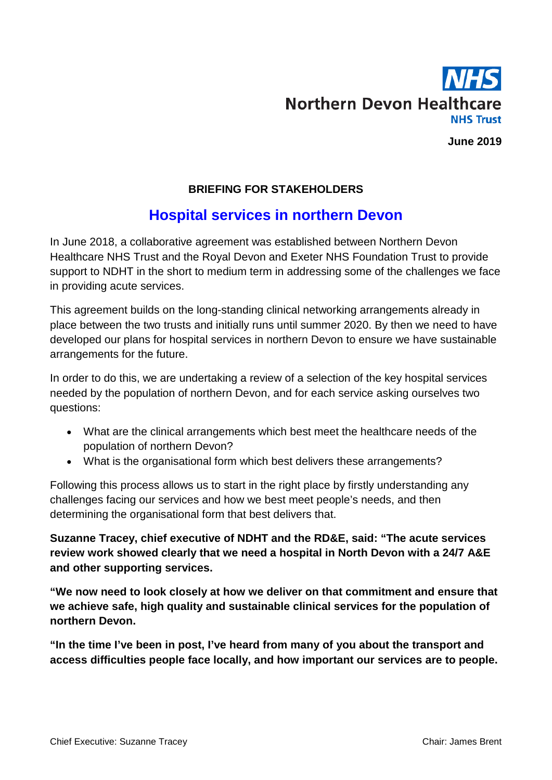

**June 2019**

#### **BRIEFING FOR STAKEHOLDERS**

# **Hospital services in northern Devon**

In June 2018, a collaborative agreement was established between Northern Devon Healthcare NHS Trust and the Royal Devon and Exeter NHS Foundation Trust to provide support to NDHT in the short to medium term in addressing some of the challenges we face in providing acute services.

This agreement builds on the long-standing clinical networking arrangements already in place between the two trusts and initially runs until summer 2020. By then we need to have developed our plans for hospital services in northern Devon to ensure we have sustainable arrangements for the future.

In order to do this, we are undertaking a review of a selection of the key hospital services needed by the population of northern Devon, and for each service asking ourselves two questions:

- What are the clinical arrangements which best meet the healthcare needs of the population of northern Devon?
- What is the organisational form which best delivers these arrangements?

Following this process allows us to start in the right place by firstly understanding any challenges facing our services and how we best meet people's needs, and then determining the organisational form that best delivers that.

**Suzanne Tracey, chief executive of NDHT and the RD&E, said: "The acute services review work showed clearly that we need a hospital in North Devon with a 24/7 A&E and other supporting services.**

**"We now need to look closely at how we deliver on that commitment and ensure that we achieve safe, high quality and sustainable clinical services for the population of northern Devon.**

**"In the time I've been in post, I've heard from many of you about the transport and access difficulties people face locally, and how important our services are to people.**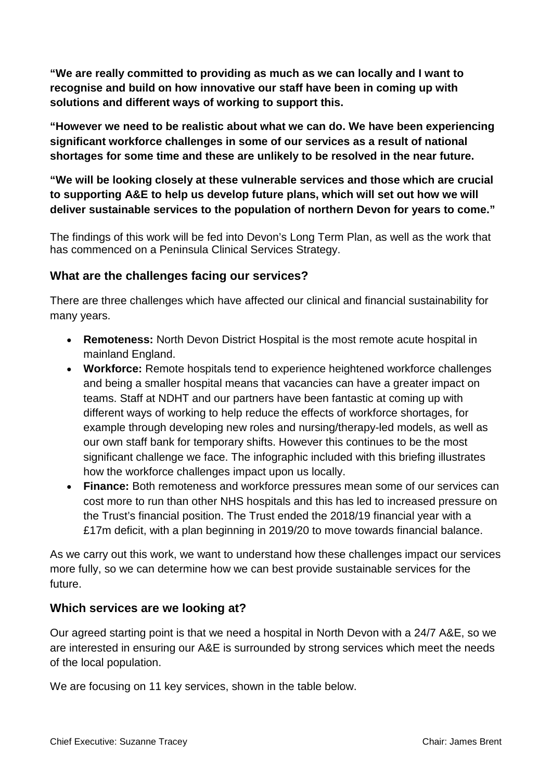**"We are really committed to providing as much as we can locally and I want to recognise and build on how innovative our staff have been in coming up with solutions and different ways of working to support this.**

**"However we need to be realistic about what we can do. We have been experiencing significant workforce challenges in some of our services as a result of national shortages for some time and these are unlikely to be resolved in the near future.**

**"We will be looking closely at these vulnerable services and those which are crucial to supporting A&E to help us develop future plans, which will set out how we will deliver sustainable services to the population of northern Devon for years to come."**

The findings of this work will be fed into Devon's Long Term Plan, as well as the work that has commenced on a Peninsula Clinical Services Strategy.

### **What are the challenges facing our services?**

There are three challenges which have affected our clinical and financial sustainability for many years.

- **Remoteness:** North Devon District Hospital is the most remote acute hospital in mainland England.
- **Workforce:** Remote hospitals tend to experience heightened workforce challenges and being a smaller hospital means that vacancies can have a greater impact on teams. Staff at NDHT and our partners have been fantastic at coming up with different ways of working to help reduce the effects of workforce shortages, for example through developing new roles and nursing/therapy-led models, as well as our own staff bank for temporary shifts. However this continues to be the most significant challenge we face. The infographic included with this briefing illustrates how the workforce challenges impact upon us locally.
- **Finance:** Both remoteness and workforce pressures mean some of our services can cost more to run than other NHS hospitals and this has led to increased pressure on the Trust's financial position. The Trust ended the 2018/19 financial year with a £17m deficit, with a plan beginning in 2019/20 to move towards financial balance.

As we carry out this work, we want to understand how these challenges impact our services more fully, so we can determine how we can best provide sustainable services for the future.

#### **Which services are we looking at?**

Our agreed starting point is that we need a hospital in North Devon with a 24/7 A&E, so we are interested in ensuring our A&E is surrounded by strong services which meet the needs of the local population.

We are focusing on 11 key services, shown in the table below.